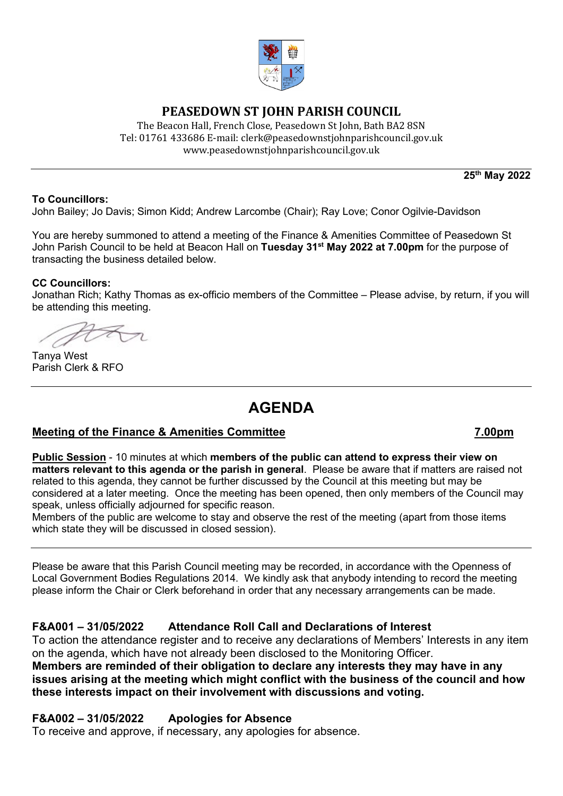

# **PEASEDOWN ST JOHN PARISH COUNCIL**

The Beacon Hall, French Close, Peasedown St John, Bath BA2 8SN Tel: 01761 433686 E-mail: clerk@peasedownstjohnparishcouncil.gov.uk [www.peasedownstjohnparishcouncil.gov.uk](http://www.peasedownstjohnparishcouncil.gov.uk/)

**25th May 2022**

#### **To Councillors:**

John Bailey; Jo Davis; Simon Kidd; Andrew Larcombe (Chair); Ray Love; Conor Ogilvie-Davidson

You are hereby summoned to attend a meeting of the Finance & Amenities Committee of Peasedown St John Parish Council to be held at Beacon Hall on **Tuesday 31st May 2022 at 7.00pm** for the purpose of transacting the business detailed below.

#### **CC Councillors:**

Jonathan Rich; Kathy Thomas as ex-officio members of the Committee – Please advise, by return, if you will be attending this meeting.

Tanya West Parish Clerk & RFO

# **AGENDA**

# **Meeting of the Finance & Amenities Committee 7.00pm**

#### **Public Session** - 10 minutes at which **members of the public can attend to express their view on matters relevant to this agenda or the parish in general**. Please be aware that if matters are raised not related to this agenda, they cannot be further discussed by the Council at this meeting but may be considered at a later meeting. Once the meeting has been opened, then only members of the Council may speak, unless officially adjourned for specific reason.

Members of the public are welcome to stay and observe the rest of the meeting (apart from those items which state they will be discussed in closed session).

Please be aware that this Parish Council meeting may be recorded, in accordance with the Openness of Local Government Bodies Regulations 2014. We kindly ask that anybody intending to record the meeting please inform the Chair or Clerk beforehand in order that any necessary arrangements can be made.

# **F&A001 – 31/05/2022 Attendance Roll Call and Declarations of Interest**

To action the attendance register and to receive any declarations of Members' Interests in any item on the agenda, which have not already been disclosed to the Monitoring Officer. **Members are reminded of their obligation to declare any interests they may have in any issues arising at the meeting which might conflict with the business of the council and how** 

**these interests impact on their involvement with discussions and voting.**

#### **F&A002 – 31/05/2022 Apologies for Absence**

To receive and approve, if necessary, any apologies for absence.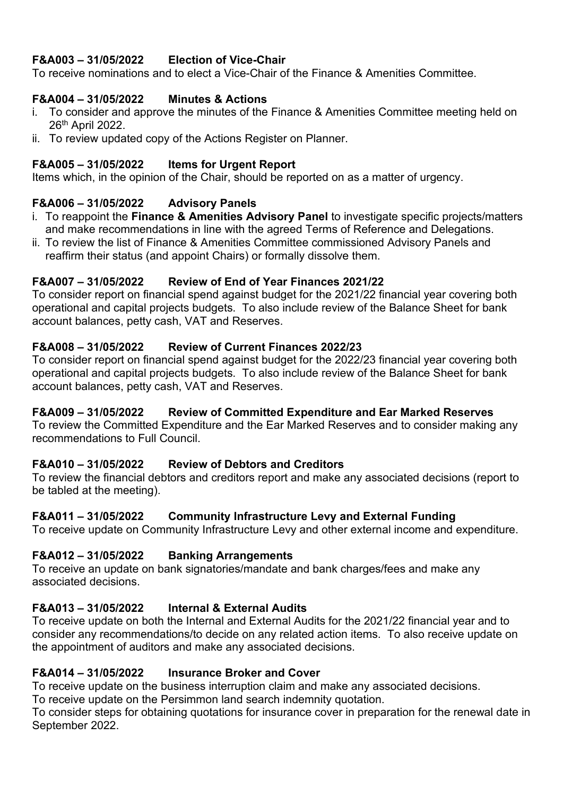# **F&A003 – 31/05/2022 Election of Vice-Chair**

To receive nominations and to elect a Vice-Chair of the Finance & Amenities Committee.

# **F&A004 – 31/05/2022 Minutes & Actions**

- i. To consider and approve the minutes of the Finance & Amenities Committee meeting held on 26th April 2022.
- ii. To review updated copy of the Actions Register on Planner.

#### **F&A005 – 31/05/2022 Items for Urgent Report**

Items which, in the opinion of the Chair, should be reported on as a matter of urgency.

#### **F&A006 – 31/05/2022 Advisory Panels**

- i. To reappoint the **Finance & Amenities Advisory Panel** to investigate specific projects/matters and make recommendations in line with the agreed Terms of Reference and Delegations.
- ii. To review the list of Finance & Amenities Committee commissioned Advisory Panels and reaffirm their status (and appoint Chairs) or formally dissolve them.

#### **F&A007 – 31/05/2022 Review of End of Year Finances 2021/22**

To consider report on financial spend against budget for the 2021/22 financial year covering both operational and capital projects budgets. To also include review of the Balance Sheet for bank account balances, petty cash, VAT and Reserves.

#### **F&A008 – 31/05/2022 Review of Current Finances 2022/23**

To consider report on financial spend against budget for the 2022/23 financial year covering both operational and capital projects budgets. To also include review of the Balance Sheet for bank account balances, petty cash, VAT and Reserves.

# **F&A009 – 31/05/2022 Review of Committed Expenditure and Ear Marked Reserves**

To review the Committed Expenditure and the Ear Marked Reserves and to consider making any recommendations to Full Council.

#### **F&A010 – 31/05/2022 Review of Debtors and Creditors**

To review the financial debtors and creditors report and make any associated decisions (report to be tabled at the meeting).

#### **F&A011 – 31/05/2022 Community Infrastructure Levy and External Funding**

To receive update on Community Infrastructure Levy and other external income and expenditure.

#### **F&A012 – 31/05/2022 Banking Arrangements**

To receive an update on bank signatories/mandate and bank charges/fees and make any associated decisions.

# **F&A013 – 31/05/2022 Internal & External Audits**

To receive update on both the Internal and External Audits for the 2021/22 financial year and to consider any recommendations/to decide on any related action items. To also receive update on the appointment of auditors and make any associated decisions.

#### **F&A014 – 31/05/2022 Insurance Broker and Cover**

To receive update on the business interruption claim and make any associated decisions.

To receive update on the Persimmon land search indemnity quotation.

To consider steps for obtaining quotations for insurance cover in preparation for the renewal date in September 2022.